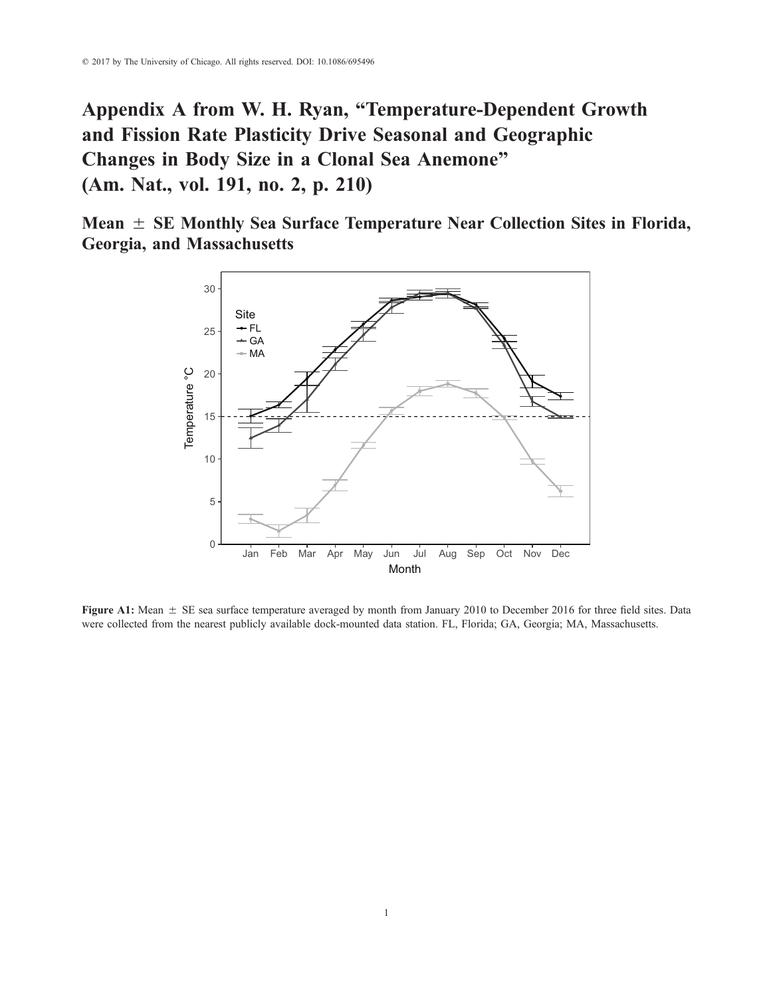Appendix A from W. H. Ryan, "Temperature-Dependent Growth and Fission Rate Plasticity Drive Seasonal and Geographic Changes in Body Size in a Clonal Sea Anemone" (Am. Nat., vol. 191, no. 2, p. 210)

Mean  $\pm$  SE Monthly Sea Surface Temperature Near Collection Sites in Florida, Georgia, and Massachusetts



Figure A1: Mean  $\pm$  SE sea surface temperature averaged by month from January 2010 to December 2016 for three field sites. Data were collected from the nearest publicly available dock-mounted data station. FL, Florida; GA, Georgia; MA, Massachusetts.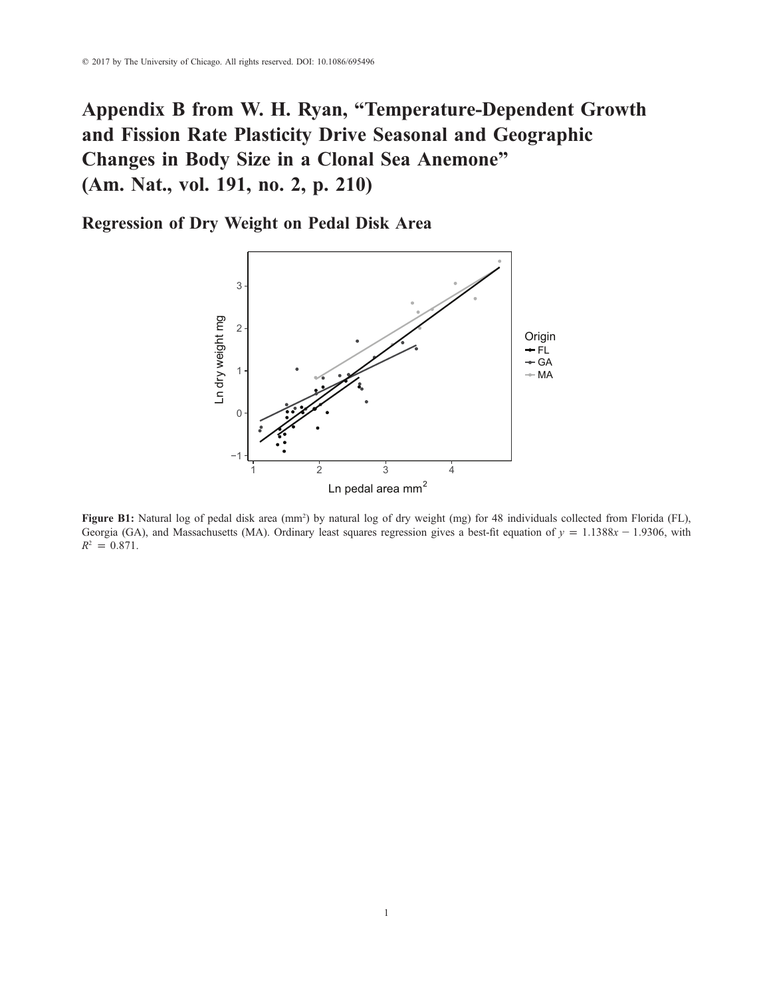# Appendix B from W. H. Ryan, "Temperature-Dependent Growth and Fission Rate Plasticity Drive Seasonal and Geographic Changes in Body Size in a Clonal Sea Anemone" (Am. Nat., vol. 191, no. 2, p. 210)

Regression of Dry Weight on Pedal Disk Area



Figure B1: Natural log of pedal disk area (mm<sup>2</sup>) by natural log of dry weight (mg) for 48 individuals collected from Florida (FL), Georgia (GA), and Massachusetts (MA). Ordinary least squares regression gives a best-fit equation of  $y = 1.1388x - 1.9306$ , with  $R^2 = 0.871$ .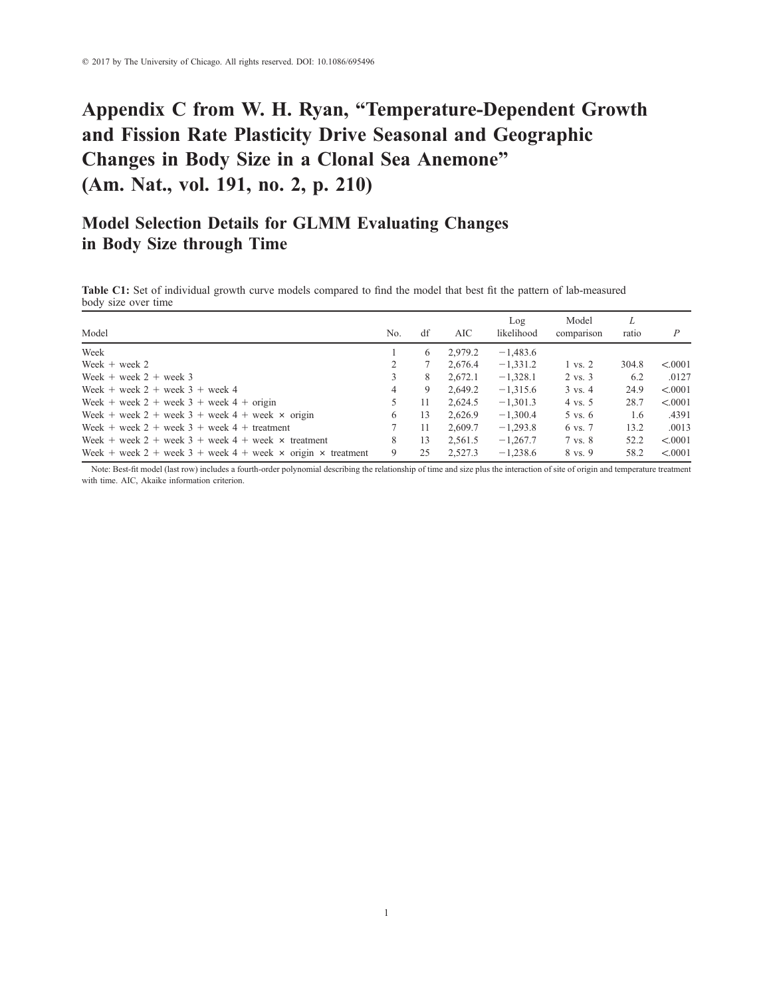# Appendix C from W. H. Ryan, "Temperature-Dependent Growth and Fission Rate Plasticity Drive Seasonal and Geographic Changes in Body Size in a Clonal Sea Anemone" (Am. Nat., vol. 191, no. 2, p. 210)

### Model Selection Details for GLMM Evaluating Changes in Body Size through Time

Table C1: Set of individual growth curve models compared to find the model that best fit the pattern of lab-measured body size over time

| Model                                                                     | No. | df | AIC     | Log<br>likelihood | Model<br>comparison | L<br>ratio | $\overline{P}$ |
|---------------------------------------------------------------------------|-----|----|---------|-------------------|---------------------|------------|----------------|
| Week                                                                      |     | 6  | 2,979.2 | $-1,483.6$        |                     |            |                |
| Week $+$ week 2                                                           | 2   |    | 2.676.4 | $-1,331.2$        | $1 \text{ vs. } 2$  | 304.8      | < 0.0001       |
| Week $+$ week $2 +$ week 3                                                | 3   | 8  | 2.672.1 | $-1,328.1$        | $2 \text{ vs. } 3$  | 6.2        | .0127          |
| Week + week $2 +$ week $3 +$ week 4                                       | 4   | 9  | 2.649.2 | $-1.315.6$        | $3 \text{ vs. } 4$  | 24.9       | < 0.0001       |
| Week + week $2 +$ week $3 +$ week $4 +$ origin                            | 5   | 11 | 2.624.5 | $-1,301.3$        | $4 \text{ vs. } 5$  | 28.7       | < 0.0001       |
| Week + week 2 + week 3 + week 4 + week $\times$ origin                    | 6   | 13 | 2.626.9 | $-1,300.4$        | 5 vs. 6             | 1.6        | .4391          |
| Week + week 2 + week 3 + week 4 + treatment                               |     | 11 | 2.609.7 | $-1,293.8$        | 6 vs. 7             | 13.2       | .0013          |
| Week + week 2 + week 3 + week 4 + week $\times$ treatment                 | 8   | 13 | 2.561.5 | $-1,267.7$        | 7 vs. 8             | 52.2       | < 0.0001       |
| Week + week 2 + week 3 + week 4 + week $\times$ origin $\times$ treatment | 9   | 25 | 2.527.3 | $-1,238.6$        | 8 vs. 9             | 58.2       | < 0.0001       |

Note: Best-fit model (last row) includes a fourth-order polynomial describing the relationship of time and size plus the interaction of site of origin and temperature treatment with time. AIC, Akaike information criterion.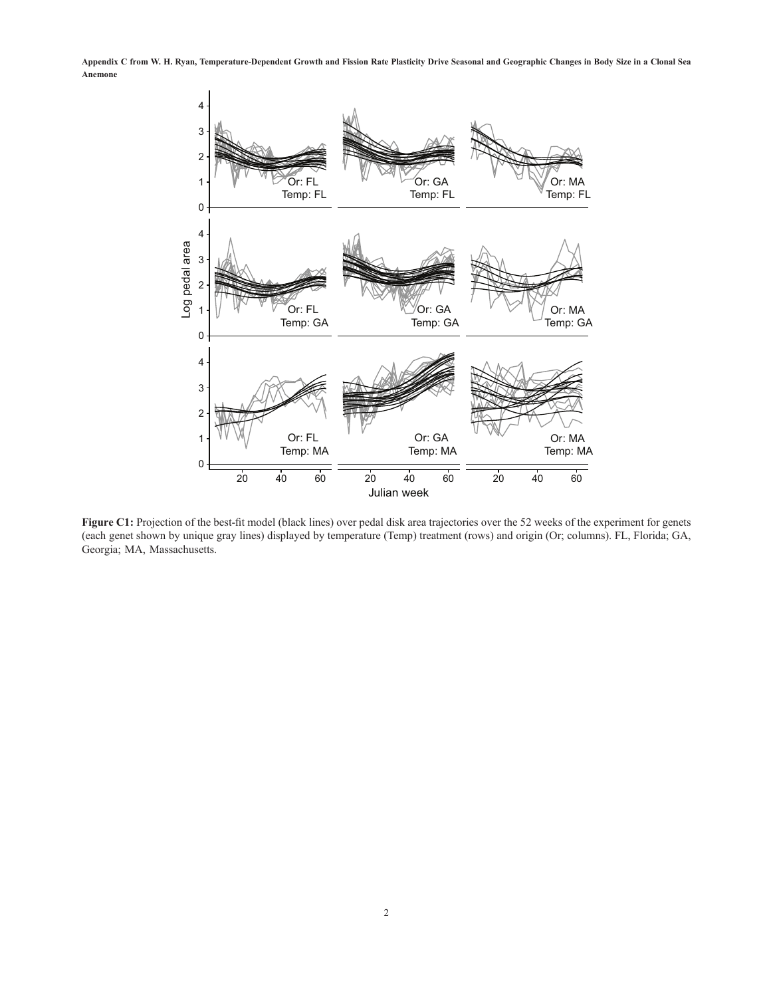Appendix C from W. H. Ryan, Temperature-Dependent Growth and Fission Rate Plasticity Drive Seasonal and Geographic Changes in Body Size in a Clonal Sea Anemone



Figure C1: Projection of the best-fit model (black lines) over pedal disk area trajectories over the 52 weeks of the experiment for genets (each genet shown by unique gray lines) displayed by temperature (Temp) treatment (rows) and origin (Or; columns). FL, Florida; GA, Georgia; MA, Massachusetts.